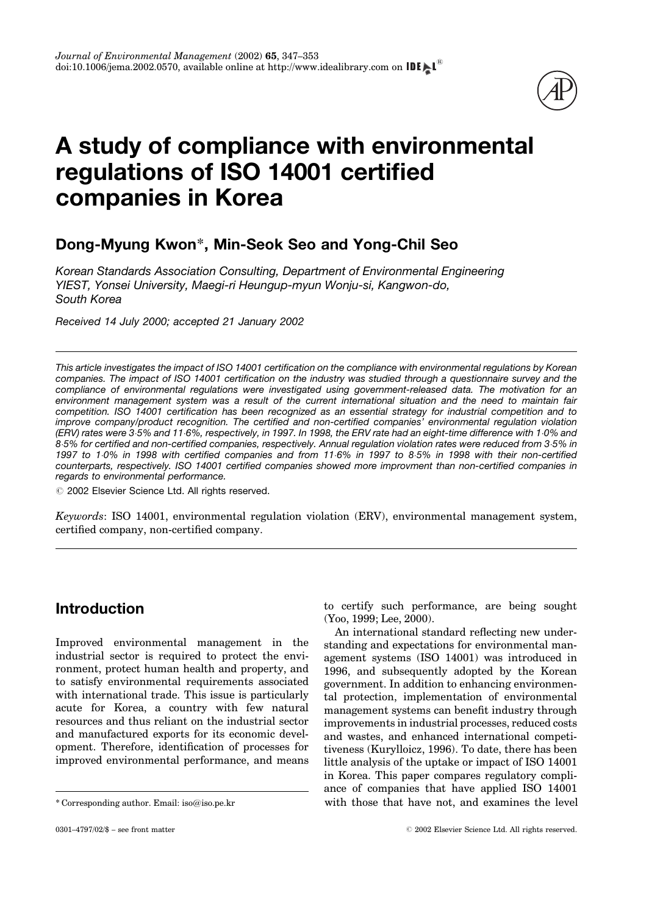

# A study of compliance with environmental regulations of ISO 14001 certified companies in Korea

### Dong-Myung Kwon\*, Min-Seok Seo and Yong-Chil Seo

Korean Standards Association Consulting, Department of Environmental Engineering YIEST, Yonsei University, Maegi-ri Heungup-myun Wonju-si, Kangwon-do, South Korea

Received 14 July 2000; accepted 21 January 2002

This article investigates the impact of ISO 14001 certification on the compliance with environmental regulations by Korean companies. The impact of ISO 14001 certification on the industry was studied through a questionnaire survey and the compliance of environmental regulations were investigated using government-released data. The motivation for an environment management system was a result of the current international situation and the need to maintain fair competition. ISO 14001 certification has been recognized as an essential strategy for industrial competition and to improve company/product recognition. The certified and non-certified companies' environmental regulation violation (ERV) rates were 35% and 116%, respectively, in 1997. In 1998, the ERV rate had an eight-time difference with 10% and 8.5% for certified and non-certified companies, respectively. Annual regulation violation rates were reduced from 3.5% in 1997 to 10% in 1998 with certified companies and from 11.6% in 1997 to 8.5% in 1998 with their non-certified counterparts, respectively. ISO 14001 certified companies showed more improvment than non-certified companies in regards to environmental performance.

 $©$  2002 Elsevier Science Ltd. All rights reserved.

Keywords: ISO 14001, environmental regulation violation (ERV), environmental management system, certified company, non-certified company.

### Introduction

Improved environmental management in the industrial sector is required to protect the environment, protect human health and property, and to satisfy environmental requirements associated with international trade. This issue is particularly acute for Korea, a country with few natural resources and thus reliant on the industrial sector and manufactured exports for its economic development. Therefore, identification of processes for improved environmental performance, and means to certify such performance, are being sought [\(Yoo, 1999](#page--1-0); [Lee, 2000](#page--1-0)).

An international standard reflecting new understanding and expectations for environmental management systems [\(ISO 14001](#page--1-0)) was introduced in 1996, and subsequently adopted by the Korean government. In addition to enhancing environmental protection, implementation of environmental management systems can benefit industry through improvements in industrial processes, reduced costs and wastes, and enhanced international competitiveness [\(Kurylloicz, 1996\)](#page--1-0). To date, there has been little analysis of the uptake or impact of ISO 14001 in Korea. This paper compares regulatory compliance of companies that have applied ISO 14001 \* Corresponding author. Email: iso@iso.pe.kr with those that have not, and examines the level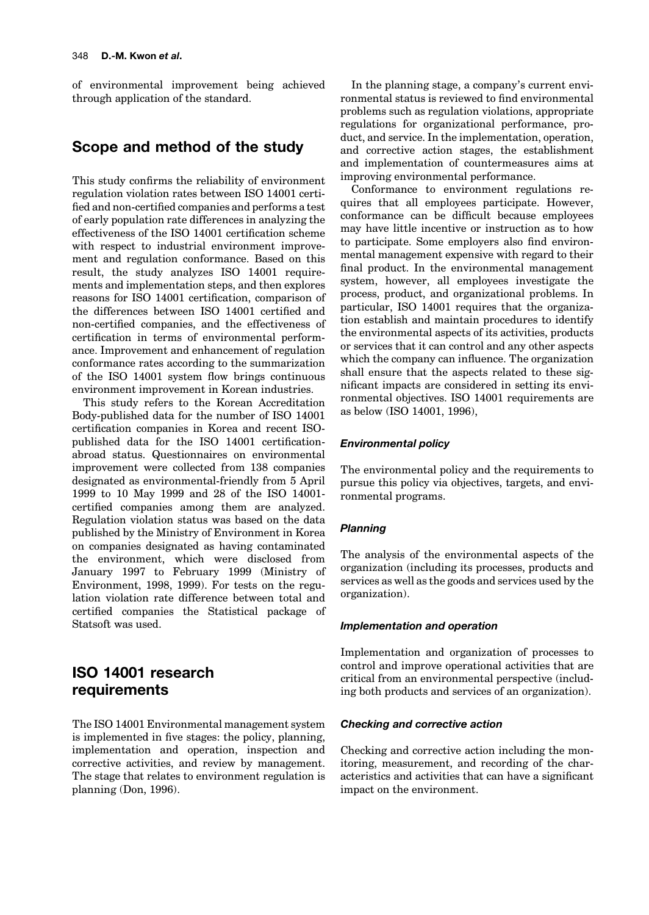of environmental improvement being achieved through application of the standard.

### Scope and method of the study

This study confirms the reliability of environment regulation violation rates between ISO 14001 certi fied and non-certified companies and performs a test of early population rate differences in analyzing the effectiveness of the ISO 14001 certification scheme with respect to industrial environment improvement and regulation conformance. Based on this result, the study analyzes ISO 14001 requirements and implementation steps, and then explores reasons for ISO 14001 certification, comparison of the differences between ISO 14001 certified and non-certified companies, and the effectiveness of certification in terms of environmental performance. Improvement and enhancement of regulation conformance rates according to the summarization of the ISO 14001 system flow brings continuous environment improvement in Korean industries.

This study refers to the Korean Accreditation Body-published data for the number of ISO 14001 certification companies in Korea and recent ISOpublished data for the ISO 14001 certificationabroad status. Questionnaires on environmental improvement were collected from 138 companies designated as environmental-friendly from 5 April 1999 to 10 May 1999 and 28 of the ISO 14001 certified companies among them are analyzed. Regulation violation status was based on the data published by the Ministry of Environment in Korea on companies designated as having contaminated the environment, which were disclosed from January 1997 to February 1999 [\(Ministry](#page--1-0) of [Environment,](#page--1-0) 1998, 1999). For tests on the regulation violation rate difference between total and certified companies the Statistical package of Statsoft was used.

### ISO 14001 research requirements

The ISO 14001 Environmental management system is implemented in five stages: the policy, planning, implementation and operation, inspection and corrective activities, and review by management. The stage that relates to environment regulation is planning (Don, [1996\)](#page--1-0).

In the planning stage, a company's current environmental status is reviewed to find environmental problems such as regulation violations, appropriate regulations for organizational performance, product, and service. In the implementation, operation, and corrective action stages, the establishment and implementation of countermeasures aims at improving environmental performance.

Conformance to environment regulations requires that all employees participate. However, conformance can be difficult because employees may have little incentive or instruction as to how to participate. Some employers also find environmental management expensive with regard to their final product. In the environmental management system, however, all employees investigate the process, product, and organizational problems. In particular, ISO 14001 requires that the organization establish and maintain procedures to identify the environmental aspects of its activities, products or services that it can control and any other aspects which the company can influence. The organization shall ensure that the aspects related to these significant impacts are considered in setting its environmental objectives. ISO 14001 requirements are as below (ISO [14001,](#page--1-0) 1996),

#### Environmental policy

The environmental policy and the requirements to pursue this policy via objectives, targets, and environmental programs.

#### Planning

The analysis of the environmental aspects of the organization (including its processes, products and services as well as the goods and services used by the organization).

#### Implementation and operation

Implementation and organization of processes to control and improve operational activities that are critical from an environmental perspective (including both products and services of an organization).

#### Checking and corrective action

Checking and corrective action including the monitoring, measurement, and recording of the characteristics and activities that can have a significant impact on the environment.